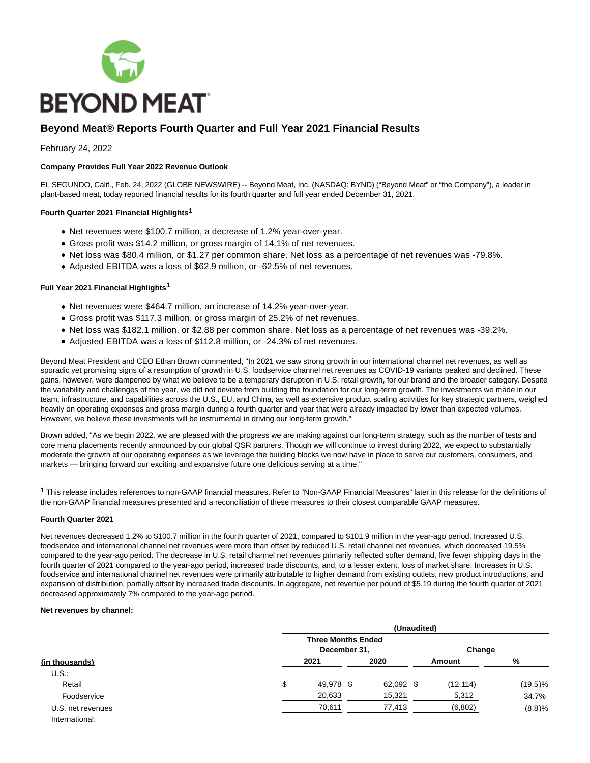

# **Beyond Meat® Reports Fourth Quarter and Full Year 2021 Financial Results**

February 24, 2022

### **Company Provides Full Year 2022 Revenue Outlook**

EL SEGUNDO, Calif., Feb. 24, 2022 (GLOBE NEWSWIRE) -- Beyond Meat, Inc. (NASDAQ: BYND) ("Beyond Meat" or "the Company"), a leader in plant-based meat, today reported financial results for its fourth quarter and full year ended December 31, 2021.

### **Fourth Quarter 2021 Financial Highlights1**

- Net revenues were \$100.7 million, a decrease of 1.2% year-over-year.
- Gross profit was \$14.2 million, or gross margin of 14.1% of net revenues.
- Net loss was \$80.4 million, or \$1.27 per common share. Net loss as a percentage of net revenues was -79.8%.
- Adjusted EBITDA was a loss of \$62.9 million, or -62.5% of net revenues.

### **Full Year 2021 Financial Highlights1**

- Net revenues were \$464.7 million, an increase of 14.2% year-over-year.
- Gross profit was \$117.3 million, or gross margin of 25.2% of net revenues.
- Net loss was \$182.1 million, or \$2.88 per common share. Net loss as a percentage of net revenues was -39.2%.
- Adjusted EBITDA was a loss of \$112.8 million, or -24.3% of net revenues.

Beyond Meat President and CEO Ethan Brown commented, "In 2021 we saw strong growth in our international channel net revenues, as well as sporadic yet promising signs of a resumption of growth in U.S. foodservice channel net revenues as COVID-19 variants peaked and declined. These gains, however, were dampened by what we believe to be a temporary disruption in U.S. retail growth, for our brand and the broader category. Despite the variability and challenges of the year, we did not deviate from building the foundation for our long-term growth. The investments we made in our team, infrastructure, and capabilities across the U.S., EU, and China, as well as extensive product scaling activities for key strategic partners, weighed heavily on operating expenses and gross margin during a fourth quarter and year that were already impacted by lower than expected volumes. However, we believe these investments will be instrumental in driving our long-term growth."

Brown added, "As we begin 2022, we are pleased with the progress we are making against our long-term strategy, such as the number of tests and core menu placements recently announced by our global QSR partners. Though we will continue to invest during 2022, we expect to substantially moderate the growth of our operating expenses as we leverage the building blocks we now have in place to serve our customers, consumers, and markets — bringing forward our exciting and expansive future one delicious serving at a time."

1 This release includes references to non-GAAP financial measures. Refer to "Non-GAAP Financial Measures" later in this release for the definitions of the non-GAAP financial measures presented and a reconciliation of these measures to their closest comparable GAAP measures.

### **Fourth Quarter 2021**

 $\overline{\phantom{a}}$  , where  $\overline{\phantom{a}}$  , where  $\overline{\phantom{a}}$ 

Net revenues decreased 1.2% to \$100.7 million in the fourth quarter of 2021, compared to \$101.9 million in the year-ago period. Increased U.S. foodservice and international channel net revenues were more than offset by reduced U.S. retail channel net revenues, which decreased 19.5% compared to the year-ago period. The decrease in U.S. retail channel net revenues primarily reflected softer demand, five fewer shipping days in the fourth quarter of 2021 compared to the year-ago period, increased trade discounts, and, to a lesser extent, loss of market share. Increases in U.S. foodservice and international channel net revenues were primarily attributable to higher demand from existing outlets, new product introductions, and expansion of distribution, partially offset by increased trade discounts. In aggregate, net revenue per pound of \$5.19 during the fourth quarter of 2021 decreased approximately 7% compared to the year-ago period.

#### **Net revenues by channel:**

| (in thousands)<br>$U.S.$ : | (Unaudited)                               |  |           |  |           |            |  |  |
|----------------------------|-------------------------------------------|--|-----------|--|-----------|------------|--|--|
|                            | <b>Three Months Ended</b><br>December 31, |  |           |  |           | Change     |  |  |
|                            | 2021                                      |  | 2020      |  | Amount    | %          |  |  |
|                            |                                           |  |           |  |           |            |  |  |
| Retail                     | \$<br>49,978 \$                           |  | 62,092 \$ |  | (12, 114) | $(19.5)\%$ |  |  |
| Foodservice                | 20,633                                    |  | 15,321    |  | 5,312     | 34.7%      |  |  |
| U.S. net revenues          | 70.611                                    |  | 77,413    |  | (6,802)   | (8.8)%     |  |  |
| International:             |                                           |  |           |  |           |            |  |  |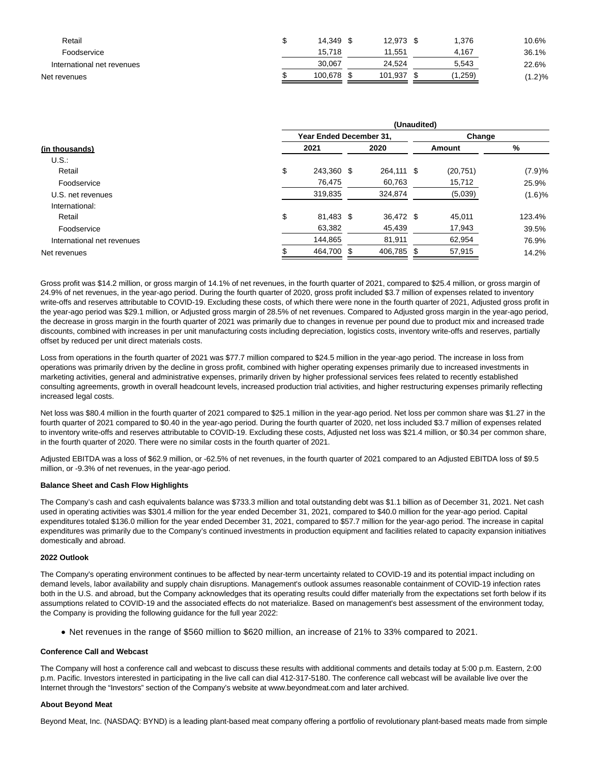| Net revenues               | 100.678 | 101.937 | .259) | (1.2)% |
|----------------------------|---------|---------|-------|--------|
| International net revenues | 30,067  | 24.524  | 5,543 | 22.6%  |
| Foodservice                | 15.718  | 11.551  | 4.167 | 36.1%  |
| Retail                     | 14.349  | 12.973  | 1.376 | 10.6%  |
|                            |         |         |       |        |

|                            |                  | (Unaudited)             |              |        |  |  |  |  |  |  |
|----------------------------|------------------|-------------------------|--------------|--------|--|--|--|--|--|--|
|                            |                  | Year Ended December 31. | Change       |        |  |  |  |  |  |  |
| (in thousands)             | 2021             | 2020                    | Amount       | %      |  |  |  |  |  |  |
| $U.S.$ :                   |                  |                         |              |        |  |  |  |  |  |  |
| Retail                     | \$<br>243,360 \$ | 264,111 \$              | (20, 751)    | (7.9)% |  |  |  |  |  |  |
| Foodservice                | 76,475           | 60,763                  | 15,712       | 25.9%  |  |  |  |  |  |  |
| U.S. net revenues          | 319,835          | 324,874                 | (5,039)      | (1.6)% |  |  |  |  |  |  |
| International:             |                  |                         |              |        |  |  |  |  |  |  |
| Retail                     | \$<br>81,483 \$  | 36,472 \$               | 45.011       | 123.4% |  |  |  |  |  |  |
| Foodservice                | 63,382           | 45,439                  | 17,943       | 39.5%  |  |  |  |  |  |  |
| International net revenues | 144,865          | 81,911                  | 62,954       | 76.9%  |  |  |  |  |  |  |
| Net revenues               | 464,700          | 406,785<br>- \$         | 57,915<br>-S | 14.2%  |  |  |  |  |  |  |
|                            |                  |                         |              |        |  |  |  |  |  |  |

Gross profit was \$14.2 million, or gross margin of 14.1% of net revenues, in the fourth quarter of 2021, compared to \$25.4 million, or gross margin of 24.9% of net revenues, in the year-ago period. During the fourth quarter of 2020, gross profit included \$3.7 million of expenses related to inventory write-offs and reserves attributable to COVID-19. Excluding these costs, of which there were none in the fourth quarter of 2021, Adjusted gross profit in the year-ago period was \$29.1 million, or Adjusted gross margin of 28.5% of net revenues. Compared to Adjusted gross margin in the year-ago period, the decrease in gross margin in the fourth quarter of 2021 was primarily due to changes in revenue per pound due to product mix and increased trade discounts, combined with increases in per unit manufacturing costs including depreciation, logistics costs, inventory write-offs and reserves, partially offset by reduced per unit direct materials costs.

Loss from operations in the fourth quarter of 2021 was \$77.7 million compared to \$24.5 million in the year-ago period. The increase in loss from operations was primarily driven by the decline in gross profit, combined with higher operating expenses primarily due to increased investments in marketing activities, general and administrative expenses, primarily driven by higher professional services fees related to recently established consulting agreements, growth in overall headcount levels, increased production trial activities, and higher restructuring expenses primarily reflecting increased legal costs.

Net loss was \$80.4 million in the fourth quarter of 2021 compared to \$25.1 million in the year-ago period. Net loss per common share was \$1.27 in the fourth quarter of 2021 compared to \$0.40 in the year-ago period. During the fourth quarter of 2020, net loss included \$3.7 million of expenses related to inventory write-offs and reserves attributable to COVID-19. Excluding these costs, Adjusted net loss was \$21.4 million, or \$0.34 per common share, in the fourth quarter of 2020. There were no similar costs in the fourth quarter of 2021.

Adjusted EBITDA was a loss of \$62.9 million, or -62.5% of net revenues, in the fourth quarter of 2021 compared to an Adjusted EBITDA loss of \$9.5 million, or -9.3% of net revenues, in the year-ago period.

### **Balance Sheet and Cash Flow Highlights**

The Company's cash and cash equivalents balance was \$733.3 million and total outstanding debt was \$1.1 billion as of December 31, 2021. Net cash used in operating activities was \$301.4 million for the year ended December 31, 2021, compared to \$40.0 million for the year-ago period. Capital expenditures totaled \$136.0 million for the year ended December 31, 2021, compared to \$57.7 million for the year-ago period. The increase in capital expenditures was primarily due to the Company's continued investments in production equipment and facilities related to capacity expansion initiatives domestically and abroad.

### **2022 Outlook**

The Company's operating environment continues to be affected by near-term uncertainty related to COVID-19 and its potential impact including on demand levels, labor availability and supply chain disruptions. Management's outlook assumes reasonable containment of COVID-19 infection rates both in the U.S. and abroad, but the Company acknowledges that its operating results could differ materially from the expectations set forth below if its assumptions related to COVID-19 and the associated effects do not materialize. Based on management's best assessment of the environment today, the Company is providing the following guidance for the full year 2022:

Net revenues in the range of \$560 million to \$620 million, an increase of 21% to 33% compared to 2021.

### **Conference Call and Webcast**

The Company will host a conference call and webcast to discuss these results with additional comments and details today at 5:00 p.m. Eastern, 2:00 p.m. Pacific. Investors interested in participating in the live call can dial 412-317-5180. The conference call webcast will be available live over the Internet through the "Investors" section of the Company's website at www.beyondmeat.com and later archived.

#### **About Beyond Meat**

Beyond Meat, Inc. (NASDAQ: BYND) is a leading plant-based meat company offering a portfolio of revolutionary plant-based meats made from simple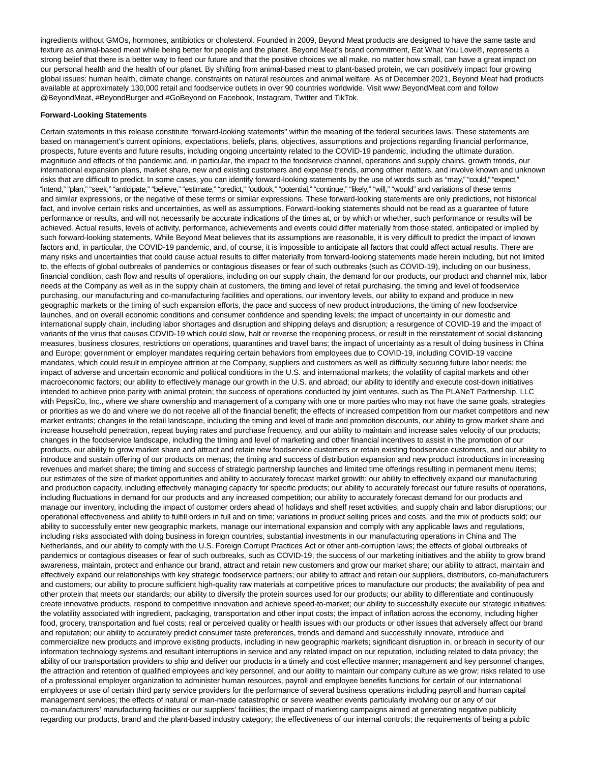ingredients without GMOs, hormones, antibiotics or cholesterol. Founded in 2009, Beyond Meat products are designed to have the same taste and texture as animal-based meat while being better for people and the planet. Beyond Meat's brand commitment, Eat What You Love®, represents a strong belief that there is a better way to feed our future and that the positive choices we all make, no matter how small, can have a great impact on our personal health and the health of our planet. By shifting from animal-based meat to plant-based protein, we can positively impact four growing global issues: human health, climate change, constraints on natural resources and animal welfare. As of December 2021, Beyond Meat had products available at approximately 130,000 retail and foodservice outlets in over 90 countries worldwide. Visit www.BeyondMeat.com and follow @BeyondMeat, #BeyondBurger and #GoBeyond on Facebook, Instagram, Twitter and TikTok.

### **Forward-Looking Statements**

Certain statements in this release constitute "forward-looking statements" within the meaning of the federal securities laws. These statements are based on management's current opinions, expectations, beliefs, plans, objectives, assumptions and projections regarding financial performance, prospects, future events and future results, including ongoing uncertainty related to the COVID-19 pandemic, including the ultimate duration, magnitude and effects of the pandemic and, in particular, the impact to the foodservice channel, operations and supply chains, growth trends, our international expansion plans, market share, new and existing customers and expense trends, among other matters, and involve known and unknown risks that are difficult to predict. In some cases, you can identify forward-looking statements by the use of words such as "may," "could," "expect," "intend," "plan," "seek," "anticipate," "believe," "estimate," "predict," "outlook," "potential," "continue," "likely," "will," "would" and variations of these terms and similar expressions, or the negative of these terms or similar expressions. These forward-looking statements are only predictions, not historical fact, and involve certain risks and uncertainties, as well as assumptions. Forward-looking statements should not be read as a guarantee of future performance or results, and will not necessarily be accurate indications of the times at, or by which or whether, such performance or results will be achieved. Actual results, levels of activity, performance, achievements and events could differ materially from those stated, anticipated or implied by such forward-looking statements. While Beyond Meat believes that its assumptions are reasonable, it is very difficult to predict the impact of known factors and, in particular, the COVID-19 pandemic, and, of course, it is impossible to anticipate all factors that could affect actual results. There are many risks and uncertainties that could cause actual results to differ materially from forward-looking statements made herein including, but not limited to, the effects of global outbreaks of pandemics or contagious diseases or fear of such outbreaks (such as COVID-19), including on our business, financial condition, cash flow and results of operations, including on our supply chain, the demand for our products, our product and channel mix, labor needs at the Company as well as in the supply chain at customers, the timing and level of retail purchasing, the timing and level of foodservice purchasing, our manufacturing and co-manufacturing facilities and operations, our inventory levels, our ability to expand and produce in new geographic markets or the timing of such expansion efforts, the pace and success of new product introductions, the timing of new foodservice launches, and on overall economic conditions and consumer confidence and spending levels; the impact of uncertainty in our domestic and international supply chain, including labor shortages and disruption and shipping delays and disruption; a resurgence of COVID-19 and the impact of variants of the virus that causes COVID-19 which could slow, halt or reverse the reopening process, or result in the reinstatement of social distancing measures, business closures, restrictions on operations, quarantines and travel bans; the impact of uncertainty as a result of doing business in China and Europe; government or employer mandates requiring certain behaviors from employees due to COVID-19, including COVID-19 vaccine mandates, which could result in employee attrition at the Company, suppliers and customers as well as difficulty securing future labor needs; the impact of adverse and uncertain economic and political conditions in the U.S. and international markets; the volatility of capital markets and other macroeconomic factors; our ability to effectively manage our growth in the U.S. and abroad; our ability to identify and execute cost-down initiatives intended to achieve price parity with animal protein; the success of operations conducted by joint ventures, such as The PLANeT Partnership, LLC with PepsiCo, Inc., where we share ownership and management of a company with one or more parties who may not have the same goals, strategies or priorities as we do and where we do not receive all of the financial benefit; the effects of increased competition from our market competitors and new market entrants; changes in the retail landscape, including the timing and level of trade and promotion discounts, our ability to grow market share and increase household penetration, repeat buying rates and purchase frequency, and our ability to maintain and increase sales velocity of our products; changes in the foodservice landscape, including the timing and level of marketing and other financial incentives to assist in the promotion of our products, our ability to grow market share and attract and retain new foodservice customers or retain existing foodservice customers, and our ability to introduce and sustain offering of our products on menus; the timing and success of distribution expansion and new product introductions in increasing revenues and market share; the timing and success of strategic partnership launches and limited time offerings resulting in permanent menu items; our estimates of the size of market opportunities and ability to accurately forecast market growth; our ability to effectively expand our manufacturing and production capacity, including effectively managing capacity for specific products; our ability to accurately forecast our future results of operations, including fluctuations in demand for our products and any increased competition; our ability to accurately forecast demand for our products and manage our inventory, including the impact of customer orders ahead of holidays and shelf reset activities, and supply chain and labor disruptions; our operational effectiveness and ability to fulfill orders in full and on time; variations in product selling prices and costs, and the mix of products sold; our ability to successfully enter new geographic markets, manage our international expansion and comply with any applicable laws and regulations, including risks associated with doing business in foreign countries, substantial investments in our manufacturing operations in China and The Netherlands, and our ability to comply with the U.S. Foreign Corrupt Practices Act or other anti-corruption laws; the effects of global outbreaks of pandemics or contagious diseases or fear of such outbreaks, such as COVID-19; the success of our marketing initiatives and the ability to grow brand awareness, maintain, protect and enhance our brand, attract and retain new customers and grow our market share; our ability to attract, maintain and effectively expand our relationships with key strategic foodservice partners; our ability to attract and retain our suppliers, distributors, co-manufacturers and customers; our ability to procure sufficient high-quality raw materials at competitive prices to manufacture our products; the availability of pea and other protein that meets our standards; our ability to diversify the protein sources used for our products; our ability to differentiate and continuously create innovative products, respond to competitive innovation and achieve speed-to-market; our ability to successfully execute our strategic initiatives; the volatility associated with ingredient, packaging, transportation and other input costs; the impact of inflation across the economy, including higher food, grocery, transportation and fuel costs; real or perceived quality or health issues with our products or other issues that adversely affect our brand and reputation; our ability to accurately predict consumer taste preferences, trends and demand and successfully innovate, introduce and commercialize new products and improve existing products, including in new geographic markets; significant disruption in, or breach in security of our information technology systems and resultant interruptions in service and any related impact on our reputation, including related to data privacy; the ability of our transportation providers to ship and deliver our products in a timely and cost effective manner; management and key personnel changes, the attraction and retention of qualified employees and key personnel, and our ability to maintain our company culture as we grow; risks related to use of a professional employer organization to administer human resources, payroll and employee benefits functions for certain of our international employees or use of certain third party service providers for the performance of several business operations including payroll and human capital management services; the effects of natural or man-made catastrophic or severe weather events particularly involving our or any of our co-manufacturers' manufacturing facilities or our suppliers' facilities; the impact of marketing campaigns aimed at generating negative publicity regarding our products, brand and the plant-based industry category; the effectiveness of our internal controls; the requirements of being a public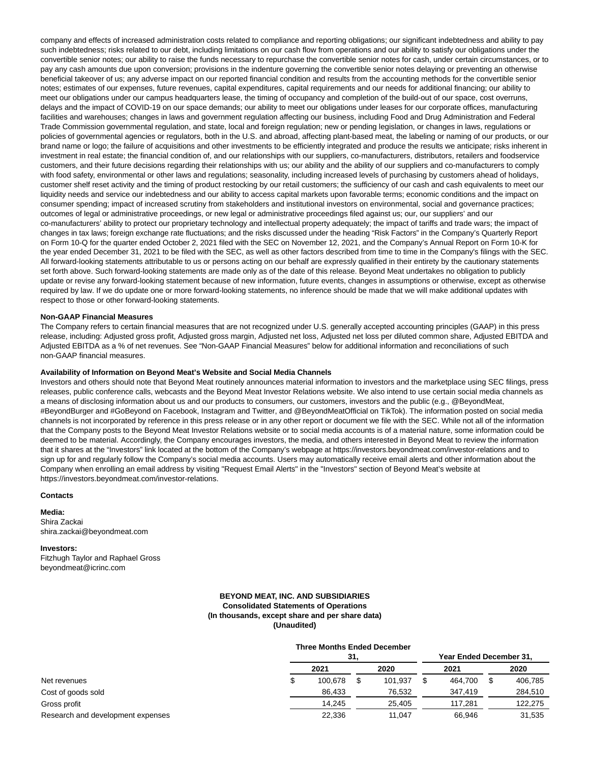company and effects of increased administration costs related to compliance and reporting obligations; our significant indebtedness and ability to pay such indebtedness; risks related to our debt, including limitations on our cash flow from operations and our ability to satisfy our obligations under the convertible senior notes; our ability to raise the funds necessary to repurchase the convertible senior notes for cash, under certain circumstances, or to pay any cash amounts due upon conversion; provisions in the indenture governing the convertible senior notes delaying or preventing an otherwise beneficial takeover of us; any adverse impact on our reported financial condition and results from the accounting methods for the convertible senior notes; estimates of our expenses, future revenues, capital expenditures, capital requirements and our needs for additional financing; our ability to meet our obligations under our campus headquarters lease, the timing of occupancy and completion of the build-out of our space, cost overruns, delays and the impact of COVID-19 on our space demands; our ability to meet our obligations under leases for our corporate offices, manufacturing facilities and warehouses; changes in laws and government regulation affecting our business, including Food and Drug Administration and Federal Trade Commission governmental regulation, and state, local and foreign regulation; new or pending legislation, or changes in laws, regulations or policies of governmental agencies or regulators, both in the U.S. and abroad, affecting plant-based meat, the labeling or naming of our products, or our brand name or logo; the failure of acquisitions and other investments to be efficiently integrated and produce the results we anticipate; risks inherent in investment in real estate; the financial condition of, and our relationships with our suppliers, co-manufacturers, distributors, retailers and foodservice customers, and their future decisions regarding their relationships with us; our ability and the ability of our suppliers and co-manufacturers to comply with food safety, environmental or other laws and regulations; seasonality, including increased levels of purchasing by customers ahead of holidays, customer shelf reset activity and the timing of product restocking by our retail customers; the sufficiency of our cash and cash equivalents to meet our liquidity needs and service our indebtedness and our ability to access capital markets upon favorable terms; economic conditions and the impact on consumer spending; impact of increased scrutiny from stakeholders and institutional investors on environmental, social and governance practices; outcomes of legal or administrative proceedings, or new legal or administrative proceedings filed against us; our, our suppliers' and our co-manufacturers' ability to protect our proprietary technology and intellectual property adequately; the impact of tariffs and trade wars; the impact of changes in tax laws; foreign exchange rate fluctuations; and the risks discussed under the heading "Risk Factors" in the Company's Quarterly Report on Form 10-Q for the quarter ended October 2, 2021 filed with the SEC on November 12, 2021, and the Company's Annual Report on Form 10-K for the year ended December 31, 2021 to be filed with the SEC, as well as other factors described from time to time in the Company's filings with the SEC. All forward-looking statements attributable to us or persons acting on our behalf are expressly qualified in their entirety by the cautionary statements set forth above. Such forward-looking statements are made only as of the date of this release. Beyond Meat undertakes no obligation to publicly update or revise any forward-looking statement because of new information, future events, changes in assumptions or otherwise, except as otherwise required by law. If we do update one or more forward-looking statements, no inference should be made that we will make additional updates with respect to those or other forward-looking statements.

#### **Non-GAAP Financial Measures**

The Company refers to certain financial measures that are not recognized under U.S. generally accepted accounting principles (GAAP) in this press release, including: Adjusted gross profit, Adjusted gross margin, Adjusted net loss, Adjusted net loss per diluted common share, Adjusted EBITDA and Adjusted EBITDA as a % of net revenues. See "Non-GAAP Financial Measures" below for additional information and reconciliations of such non-GAAP financial measures.

#### **Availability of Information on Beyond Meat's Website and Social Media Channels**

Investors and others should note that Beyond Meat routinely announces material information to investors and the marketplace using SEC filings, press releases, public conference calls, webcasts and the Beyond Meat Investor Relations website. We also intend to use certain social media channels as a means of disclosing information about us and our products to consumers, our customers, investors and the public (e.g., @BeyondMeat, #BeyondBurger and #GoBeyond on Facebook, Instagram and Twitter, and @BeyondMeatOfficial on TikTok). The information posted on social media channels is not incorporated by reference in this press release or in any other report or document we file with the SEC. While not all of the information that the Company posts to the Beyond Meat Investor Relations website or to social media accounts is of a material nature, some information could be deemed to be material. Accordingly, the Company encourages investors, the media, and others interested in Beyond Meat to review the information that it shares at the "Investors" link located at the bottom of the Company's webpage at https://investors.beyondmeat.com/investor-relations and to sign up for and regularly follow the Company's social media accounts. Users may automatically receive email alerts and other information about the Company when enrolling an email address by visiting "Request Email Alerts" in the "Investors" section of Beyond Meat's website at https://investors.beyondmeat.com/investor-relations.

#### **Contacts**

#### **Media:**

Shira Zackai shira.zackai@beyondmeat.com

**Investors:**

Fitzhugh Taylor and Raphael Gross beyondmeat@icrinc.com

#### **BEYOND MEAT, INC. AND SUBSIDIARIES Consolidated Statements of Operations (In thousands, except share and per share data) (Unaudited)**

|                                   | <b>Three Months Ended December</b> |  |         |                                |         |  |         |
|-----------------------------------|------------------------------------|--|---------|--------------------------------|---------|--|---------|
|                                   | 31.                                |  |         | <b>Year Ended December 31.</b> |         |  |         |
|                                   | 2021                               |  | 2020    |                                | 2021    |  | 2020    |
| Net revenues                      | 100.678                            |  | 101.937 |                                | 464.700 |  | 406.785 |
| Cost of goods sold                | 86.433                             |  | 76.532  |                                | 347.419 |  | 284,510 |
| Gross profit                      | 14.245                             |  | 25.405  |                                | 117.281 |  | 122.275 |
| Research and development expenses | 22,336                             |  | 11.047  |                                | 66,946  |  | 31,535  |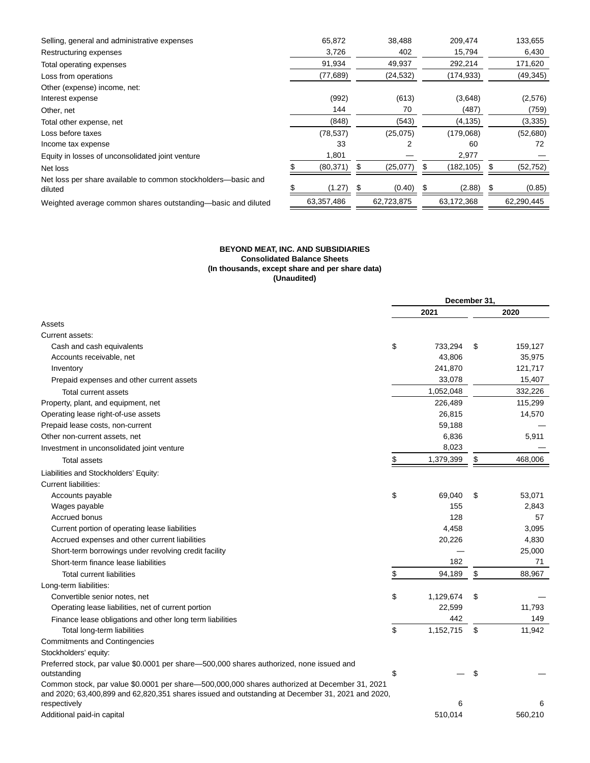| Selling, general and administrative expenses                             | 65,872     |   | 38,488     |    | 209.474    |     | 133,655    |
|--------------------------------------------------------------------------|------------|---|------------|----|------------|-----|------------|
| Restructuring expenses                                                   | 3,726      |   | 402        |    | 15,794     |     | 6,430      |
| Total operating expenses                                                 | 91,934     |   | 49,937     |    | 292,214    |     | 171,620    |
| Loss from operations                                                     | (77, 689)  |   | (24, 532)  |    | (174, 933) |     | (49, 345)  |
| Other (expense) income, net:                                             |            |   |            |    |            |     |            |
| Interest expense                                                         | (992)      |   | (613)      |    | (3,648)    |     | (2,576)    |
| Other, net                                                               | 144        |   | 70         |    | (487)      |     | (759)      |
| Total other expense, net                                                 | (848)      |   | (543)      |    | (4, 135)   |     | (3,335)    |
| Loss before taxes                                                        | (78, 537)  |   | (25,075)   |    | (179,068)  |     | (52,680)   |
| Income tax expense                                                       | 33         |   |            |    | 60         |     | 72         |
| Equity in losses of unconsolidated joint venture                         | 1,801      |   |            |    | 2.977      |     |            |
| Net loss                                                                 | (80, 371)  |   | (25,077)   |    | (182, 105) |     | (52, 752)  |
| Net loss per share available to common stockholders—basic and<br>diluted | (1.27)     | S | (0.40)     | -5 | (2.88)     | \$. | (0.85)     |
| Weighted average common shares outstanding—basic and diluted             | 63,357,486 |   | 62,723,875 |    | 63,172,368 |     | 62,290,445 |
|                                                                          |            |   |            |    |            |     |            |

#### **BEYOND MEAT, INC. AND SUBSIDIARIES Consolidated Balance Sheets (In thousands, except share and per share data) (Unaudited)**

|                                                                                                                                                                                                   | December 31, |           |    |         |  |
|---------------------------------------------------------------------------------------------------------------------------------------------------------------------------------------------------|--------------|-----------|----|---------|--|
|                                                                                                                                                                                                   |              | 2021      |    | 2020    |  |
| Assets                                                                                                                                                                                            |              |           |    |         |  |
| Current assets:                                                                                                                                                                                   |              |           |    |         |  |
| Cash and cash equivalents                                                                                                                                                                         | \$           | 733,294   | \$ | 159,127 |  |
| Accounts receivable, net                                                                                                                                                                          |              | 43,806    |    | 35,975  |  |
| Inventory                                                                                                                                                                                         |              | 241,870   |    | 121,717 |  |
| Prepaid expenses and other current assets                                                                                                                                                         |              | 33,078    |    | 15,407  |  |
| <b>Total current assets</b>                                                                                                                                                                       |              | 1,052,048 |    | 332,226 |  |
| Property, plant, and equipment, net                                                                                                                                                               |              | 226,489   |    | 115,299 |  |
| Operating lease right-of-use assets                                                                                                                                                               |              | 26,815    |    | 14,570  |  |
| Prepaid lease costs, non-current                                                                                                                                                                  |              | 59,188    |    |         |  |
| Other non-current assets, net                                                                                                                                                                     |              | 6,836     |    | 5,911   |  |
| Investment in unconsolidated joint venture                                                                                                                                                        |              | 8,023     |    |         |  |
| <b>Total assets</b>                                                                                                                                                                               | \$           | 1,379,399 | \$ | 468,006 |  |
| Liabilities and Stockholders' Equity:                                                                                                                                                             |              |           |    |         |  |
| Current liabilities:                                                                                                                                                                              |              |           |    |         |  |
| Accounts payable                                                                                                                                                                                  | \$           | 69,040    | \$ | 53,071  |  |
| Wages payable                                                                                                                                                                                     |              | 155       |    | 2,843   |  |
| Accrued bonus                                                                                                                                                                                     |              | 128       |    | 57      |  |
| Current portion of operating lease liabilities                                                                                                                                                    |              | 4,458     |    | 3,095   |  |
| Accrued expenses and other current liabilities                                                                                                                                                    |              | 20,226    |    | 4,830   |  |
| Short-term borrowings under revolving credit facility                                                                                                                                             |              |           |    | 25,000  |  |
| Short-term finance lease liabilities                                                                                                                                                              |              | 182       |    | 71      |  |
| <b>Total current liabilities</b>                                                                                                                                                                  | \$           | 94,189    | \$ | 88,967  |  |
| Long-term liabilities:                                                                                                                                                                            |              |           |    |         |  |
| Convertible senior notes, net                                                                                                                                                                     | \$           | 1,129,674 | \$ |         |  |
| Operating lease liabilities, net of current portion                                                                                                                                               |              | 22,599    |    | 11,793  |  |
| Finance lease obligations and other long term liabilities                                                                                                                                         |              | 442       |    | 149     |  |
| Total long-term liabilities                                                                                                                                                                       | \$           | 1,152,715 | \$ | 11,942  |  |
| <b>Commitments and Contingencies</b>                                                                                                                                                              |              |           |    |         |  |
| Stockholders' equity:                                                                                                                                                                             |              |           |    |         |  |
| Preferred stock, par value \$0.0001 per share-500,000 shares authorized, none issued and                                                                                                          |              |           |    |         |  |
| outstanding                                                                                                                                                                                       | \$           |           | \$ |         |  |
| Common stock, par value \$0.0001 per share-500,000,000 shares authorized at December 31, 2021<br>and 2020; 63,400,899 and 62,820,351 shares issued and outstanding at December 31, 2021 and 2020, |              |           |    |         |  |
| respectively                                                                                                                                                                                      |              | 6         |    | 6       |  |
| Additional paid-in capital                                                                                                                                                                        |              | 510,014   |    | 560,210 |  |
|                                                                                                                                                                                                   |              |           |    |         |  |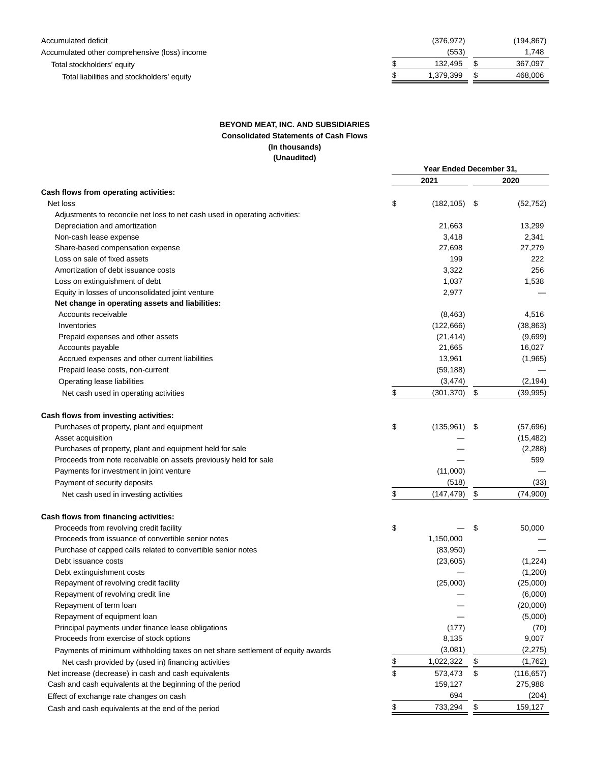### Accumulated deficit

Accumulated other comprehensive (loss) income<br>
Total stockholders' equity<br>
Total liabilities and stockholders' equity<br>  $\frac{\$}{\$}$ 

Total stockholders' equity

Total liabilities and stockholders' equity

| (376, 972) |     | (194, 867) |
|------------|-----|------------|
| (553)      |     | 1,748      |
| 132,495    | \$. | 367,097    |
| 1,379,399  | \$  | 468,006    |
|            |     |            |

## **BEYOND MEAT, INC. AND SUBSIDIARIES Consolidated Statements of Cash Flows (In thousands) (Unaudited)**

|                                                                                | Year Ended December 31, |                 |    |            |
|--------------------------------------------------------------------------------|-------------------------|-----------------|----|------------|
|                                                                                |                         | 2021            |    | 2020       |
| Cash flows from operating activities:                                          |                         |                 |    |            |
| Net loss                                                                       | \$                      | $(182, 105)$ \$ |    | (52, 752)  |
| Adjustments to reconcile net loss to net cash used in operating activities:    |                         |                 |    |            |
| Depreciation and amortization                                                  |                         | 21,663          |    | 13,299     |
| Non-cash lease expense                                                         |                         | 3,418           |    | 2,341      |
| Share-based compensation expense                                               |                         | 27,698          |    | 27,279     |
| Loss on sale of fixed assets                                                   |                         | 199             |    | 222        |
| Amortization of debt issuance costs                                            |                         | 3,322           |    | 256        |
| Loss on extinguishment of debt                                                 |                         | 1,037           |    | 1,538      |
| Equity in losses of unconsolidated joint venture                               |                         | 2,977           |    |            |
| Net change in operating assets and liabilities:                                |                         |                 |    |            |
| Accounts receivable                                                            |                         | (8, 463)        |    | 4,516      |
| Inventories                                                                    |                         | (122, 666)      |    | (38, 863)  |
| Prepaid expenses and other assets                                              |                         | (21, 414)       |    | (9,699)    |
| Accounts payable                                                               |                         | 21,665          |    | 16,027     |
| Accrued expenses and other current liabilities                                 |                         | 13,961          |    | (1,965)    |
| Prepaid lease costs, non-current                                               |                         | (59, 188)       |    |            |
| Operating lease liabilities                                                    |                         | (3, 474)        |    | (2, 194)   |
| Net cash used in operating activities                                          | \$                      | (301, 370)      | \$ | (39,995)   |
| Cash flows from investing activities:                                          |                         |                 |    |            |
| Purchases of property, plant and equipment                                     | \$                      | (135,961)       | \$ | (57,696)   |
| Asset acquisition                                                              |                         |                 |    | (15, 482)  |
| Purchases of property, plant and equipment held for sale                       |                         |                 |    | (2, 288)   |
| Proceeds from note receivable on assets previously held for sale               |                         |                 |    | 599        |
| Payments for investment in joint venture                                       |                         | (11,000)        |    |            |
| Payment of security deposits                                                   |                         | (518)           |    | (33)       |
| Net cash used in investing activities                                          | \$                      | $(147, 479)$ \$ |    | (74,900)   |
| Cash flows from financing activities:                                          |                         |                 |    |            |
| Proceeds from revolving credit facility                                        | \$                      |                 | \$ | 50,000     |
| Proceeds from issuance of convertible senior notes                             |                         | 1,150,000       |    |            |
| Purchase of capped calls related to convertible senior notes                   |                         | (83,950)        |    |            |
| Debt issuance costs                                                            |                         | (23, 605)       |    | (1,224)    |
| Debt extinguishment costs                                                      |                         |                 |    | (1,200)    |
| Repayment of revolving credit facility                                         |                         | (25,000)        |    | (25,000)   |
| Repayment of revolving credit line                                             |                         |                 |    | (6,000)    |
| Repayment of term loan                                                         |                         |                 |    | (20,000)   |
| Repayment of equipment loan                                                    |                         |                 |    | (5,000)    |
| Principal payments under finance lease obligations                             |                         | (177)           |    | (70)       |
| Proceeds from exercise of stock options                                        |                         | 8,135           |    | 9,007      |
| Payments of minimum withholding taxes on net share settlement of equity awards |                         | (3,081)         |    | (2,275)    |
| Net cash provided by (used in) financing activities                            | $\frac{3}{2}$           | 1,022,322       | \$ | (1,762)    |
| Net increase (decrease) in cash and cash equivalents                           | \$                      | 573,473         | \$ | (116, 657) |
| Cash and cash equivalents at the beginning of the period                       |                         | 159,127         |    | 275,988    |
| Effect of exchange rate changes on cash                                        |                         | 694             |    | (204)      |
| Cash and cash equivalents at the end of the period                             | \$                      | 733,294         | \$ | 159,127    |
|                                                                                |                         |                 |    |            |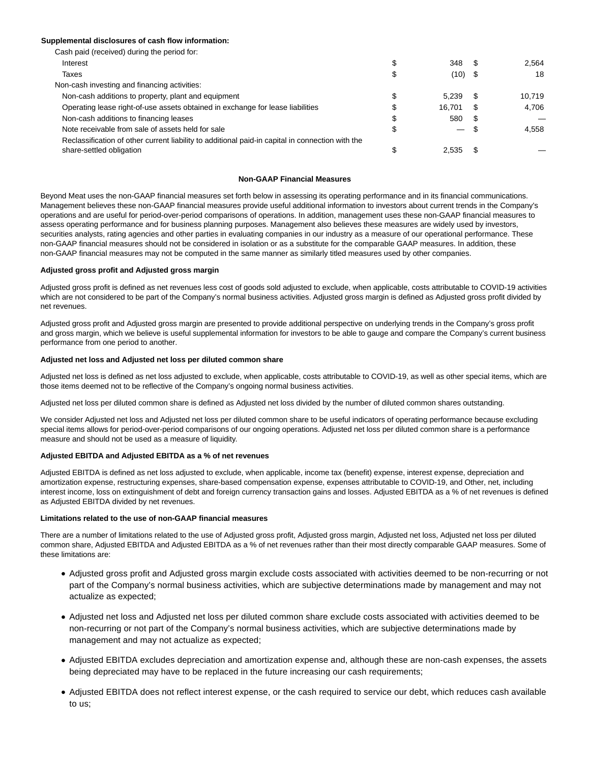#### **Supplemental disclosures of cash flow information:**

| Cash paid (received) during the period for:                                                      |    |           |      |        |
|--------------------------------------------------------------------------------------------------|----|-----------|------|--------|
| Interest                                                                                         | Φ  | 348       |      | 2.564  |
| Taxes                                                                                            | \$ | $(10)$ \$ |      | 18     |
| Non-cash investing and financing activities:                                                     |    |           |      |        |
| Non-cash additions to property, plant and equipment                                              | \$ | 5.239     | - \$ | 10.719 |
| Operating lease right-of-use assets obtained in exchange for lease liabilities                   | J  | 16.701    | S    | 4.706  |
| Non-cash additions to financing leases                                                           | \$ | 580       | \$.  |        |
| Note receivable from sale of assets held for sale                                                | \$ |           | -S   | 4.558  |
| Reclassification of other current liability to additional paid-in capital in connection with the |    |           |      |        |
| share-settled obligation                                                                         |    | 2.535     | S    |        |
|                                                                                                  |    |           |      |        |

#### **Non-GAAP Financial Measures**

Beyond Meat uses the non-GAAP financial measures set forth below in assessing its operating performance and in its financial communications. Management believes these non-GAAP financial measures provide useful additional information to investors about current trends in the Company's operations and are useful for period-over-period comparisons of operations. In addition, management uses these non-GAAP financial measures to assess operating performance and for business planning purposes. Management also believes these measures are widely used by investors, securities analysts, rating agencies and other parties in evaluating companies in our industry as a measure of our operational performance. These non-GAAP financial measures should not be considered in isolation or as a substitute for the comparable GAAP measures. In addition, these non-GAAP financial measures may not be computed in the same manner as similarly titled measures used by other companies.

### **Adjusted gross profit and Adjusted gross margin**

Adjusted gross profit is defined as net revenues less cost of goods sold adjusted to exclude, when applicable, costs attributable to COVID-19 activities which are not considered to be part of the Company's normal business activities. Adjusted gross margin is defined as Adjusted gross profit divided by net revenues.

Adjusted gross profit and Adjusted gross margin are presented to provide additional perspective on underlying trends in the Company's gross profit and gross margin, which we believe is useful supplemental information for investors to be able to gauge and compare the Company's current business performance from one period to another.

### **Adjusted net loss and Adjusted net loss per diluted common share**

Adjusted net loss is defined as net loss adjusted to exclude, when applicable, costs attributable to COVID-19, as well as other special items, which are those items deemed not to be reflective of the Company's ongoing normal business activities.

Adjusted net loss per diluted common share is defined as Adjusted net loss divided by the number of diluted common shares outstanding.

We consider Adjusted net loss and Adjusted net loss per diluted common share to be useful indicators of operating performance because excluding special items allows for period-over-period comparisons of our ongoing operations. Adjusted net loss per diluted common share is a performance measure and should not be used as a measure of liquidity.

### **Adjusted EBITDA and Adjusted EBITDA as a % of net revenues**

Adjusted EBITDA is defined as net loss adjusted to exclude, when applicable, income tax (benefit) expense, interest expense, depreciation and amortization expense, restructuring expenses, share-based compensation expense, expenses attributable to COVID-19, and Other, net, including interest income, loss on extinguishment of debt and foreign currency transaction gains and losses. Adjusted EBITDA as a % of net revenues is defined as Adjusted EBITDA divided by net revenues.

#### **Limitations related to the use of non-GAAP financial measures**

There are a number of limitations related to the use of Adjusted gross profit, Adjusted gross margin, Adjusted net loss, Adjusted net loss per diluted common share, Adjusted EBITDA and Adjusted EBITDA as a % of net revenues rather than their most directly comparable GAAP measures. Some of these limitations are:

- Adjusted gross profit and Adjusted gross margin exclude costs associated with activities deemed to be non-recurring or not part of the Company's normal business activities, which are subjective determinations made by management and may not actualize as expected;
- Adjusted net loss and Adjusted net loss per diluted common share exclude costs associated with activities deemed to be non-recurring or not part of the Company's normal business activities, which are subjective determinations made by management and may not actualize as expected;
- Adjusted EBITDA excludes depreciation and amortization expense and, although these are non-cash expenses, the assets being depreciated may have to be replaced in the future increasing our cash requirements;
- Adjusted EBITDA does not reflect interest expense, or the cash required to service our debt, which reduces cash available to us;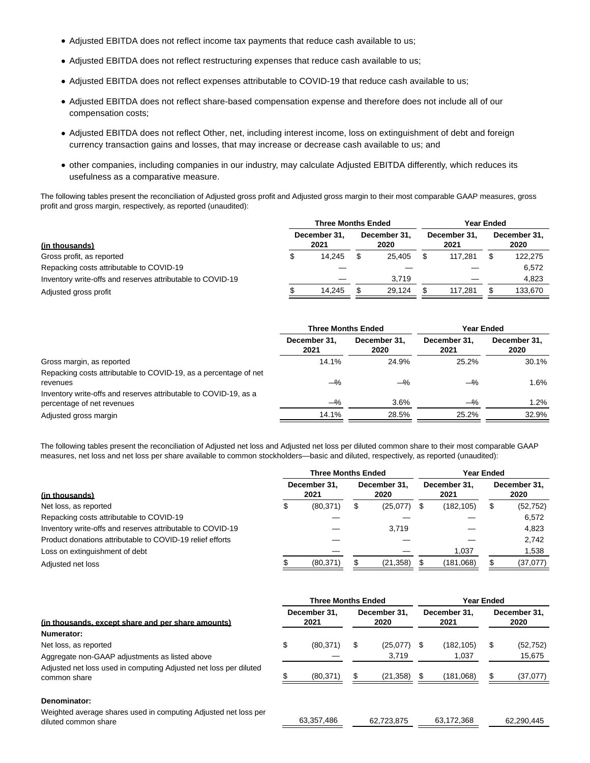- Adjusted EBITDA does not reflect income tax payments that reduce cash available to us;
- Adjusted EBITDA does not reflect restructuring expenses that reduce cash available to us;
- Adjusted EBITDA does not reflect expenses attributable to COVID-19 that reduce cash available to us;
- Adjusted EBITDA does not reflect share-based compensation expense and therefore does not include all of our compensation costs;
- Adjusted EBITDA does not reflect Other, net, including interest income, loss on extinguishment of debt and foreign currency transaction gains and losses, that may increase or decrease cash available to us; and
- other companies, including companies in our industry, may calculate Adjusted EBITDA differently, which reduces its usefulness as a comparative measure.

The following tables present the reconciliation of Adjusted gross profit and Adjusted gross margin to their most comparable GAAP measures, gross profit and gross margin, respectively, as reported (unaudited):

|                                                            | <b>Three Months Ended</b> |                      |  |                      | Year Ended |                      |  |                      |
|------------------------------------------------------------|---------------------------|----------------------|--|----------------------|------------|----------------------|--|----------------------|
| (in thousands)                                             |                           | December 31.<br>2021 |  | December 31.<br>2020 |            | December 31.<br>2021 |  | December 31.<br>2020 |
| Gross profit, as reported                                  |                           | 14.245               |  | 25.405               |            | 117.281              |  | 122,275              |
| Repacking costs attributable to COVID-19                   |                           |                      |  |                      |            |                      |  | 6,572                |
| Inventory write-offs and reserves attributable to COVID-19 |                           |                      |  | 3.719                |            |                      |  | 4.823                |
| Adjusted gross profit                                      |                           | 14.245               |  | 29.124               |            | 117.281              |  | 133,670              |

|                                                                  | <b>Three Months Ended</b> |                      | <b>Year Ended</b>    |                      |  |
|------------------------------------------------------------------|---------------------------|----------------------|----------------------|----------------------|--|
|                                                                  | December 31,<br>2021      | December 31.<br>2020 | December 31.<br>2021 | December 31,<br>2020 |  |
| Gross margin, as reported                                        | 14.1%                     | 24.9%                | 25.2%                | 30.1%                |  |
| Repacking costs attributable to COVID-19, as a percentage of net |                           |                      |                      |                      |  |
| revenues                                                         | $-\%$                     | $-\%$                | $-\%$                | $1.6\%$              |  |
| Inventory write-offs and reserves attributable to COVID-19, as a |                           |                      |                      |                      |  |
| percentage of net revenues                                       | $-\%$                     | 3.6%                 | $-\%$                | 1.2%                 |  |
| Adjusted gross margin                                            | 14.1%                     | 28.5%                | 25.2%                | 32.9%                |  |

The following tables present the reconciliation of Adjusted net loss and Adjusted net loss per diluted common share to their most comparable GAAP measures, net loss and net loss per share available to common stockholders—basic and diluted, respectively, as reported (unaudited):

| (in thousands)                                             | <b>Three Months Ended</b> |                      |                      |           |                      | Year Ended |                      |           |  |
|------------------------------------------------------------|---------------------------|----------------------|----------------------|-----------|----------------------|------------|----------------------|-----------|--|
|                                                            |                           | December 31.<br>2021 | December 31.<br>2020 |           | December 31.<br>2021 |            | December 31.<br>2020 |           |  |
| Net loss, as reported                                      |                           | (80, 371)            | \$                   | (25,077)  |                      | (182, 105) | \$                   | (52, 752) |  |
| Repacking costs attributable to COVID-19                   |                           |                      |                      |           |                      |            |                      | 6,572     |  |
| Inventory write-offs and reserves attributable to COVID-19 |                           |                      |                      | 3.719     |                      |            |                      | 4.823     |  |
| Product donations attributable to COVID-19 relief efforts  |                           |                      |                      |           |                      |            |                      | 2,742     |  |
| Loss on extinguishment of debt                             |                           |                      |                      |           |                      | 1,037      |                      | 1,538     |  |
| Adjusted net loss                                          |                           | (80, 371)            |                      | (21, 358) |                      | (181,068)  |                      | (37,077)  |  |

|                                                                                         | <b>Three Months Ended</b> |                      |     |                      | <b>Year Ended</b> |                      |    |                      |  |
|-----------------------------------------------------------------------------------------|---------------------------|----------------------|-----|----------------------|-------------------|----------------------|----|----------------------|--|
| (in thousands, except share and per share amounts)                                      |                           | December 31.<br>2021 |     | December 31.<br>2020 |                   | December 31.<br>2021 |    | December 31.<br>2020 |  |
| Numerator:                                                                              |                           |                      |     |                      |                   |                      |    |                      |  |
| Net loss, as reported                                                                   | \$                        | (80, 371)            | \$  | (25,077)             |                   | (182.105)            | \$ | (52, 752)            |  |
| Aggregate non-GAAP adjustments as listed above                                          |                           |                      |     | 3,719                |                   | 1.037                |    | 15,675               |  |
| Adjusted net loss used in computing Adjusted net loss per diluted<br>common share       |                           | (80, 371)            | \$. | (21, 358)            |                   | (181,068)            | S  | (37,077)             |  |
| Denominator:                                                                            |                           |                      |     |                      |                   |                      |    |                      |  |
| Weighted average shares used in computing Adjusted net loss per<br>diluted common share |                           | 63.357.486           |     | 62,723,875           |                   | 63.172.368           |    | 62.290.445           |  |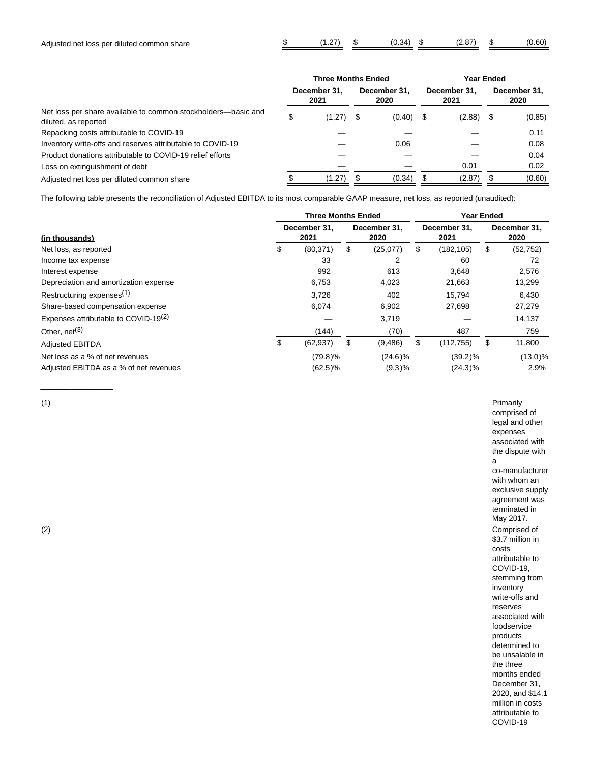| diluted common<br>share<br>net loss<br>Adiusteo<br>, per | 27<br>. | ، 34۰ ت | $\sim$<br> | $\sim$<br>'.bu |
|----------------------------------------------------------|---------|---------|------------|----------------|
|                                                          |         |         |            |                |

|                                                                                       | <b>Three Months Ended</b> |                      |  |                      | Year Ended |                      |    |                      |  |
|---------------------------------------------------------------------------------------|---------------------------|----------------------|--|----------------------|------------|----------------------|----|----------------------|--|
|                                                                                       |                           | December 31.<br>2021 |  | December 31.<br>2020 |            | December 31.<br>2021 |    | December 31.<br>2020 |  |
| Net loss per share available to common stockholders—basic and<br>diluted, as reported | \$                        | $(1.27)$ \$          |  | (0.40)               |            | (2.88)               | \$ | (0.85)               |  |
| Repacking costs attributable to COVID-19                                              |                           |                      |  |                      |            |                      |    | 0.11                 |  |
| Inventory write-offs and reserves attributable to COVID-19                            |                           |                      |  | 0.06                 |            |                      |    | 0.08                 |  |
| Product donations attributable to COVID-19 relief efforts                             |                           |                      |  |                      |            |                      |    | 0.04                 |  |
| Loss on extinguishment of debt                                                        |                           |                      |  |                      |            | 0.01                 |    | 0.02                 |  |
| Adjusted net loss per diluted common share                                            |                           | (1.27)               |  | (0.34)               |            | (2.87)               |    | (0.60)               |  |

The following table presents the reconciliation of Adjusted EBITDA to its most comparable GAAP measure, net loss, as reported (unaudited):

|                                                  | <b>Three Months Ended</b> |                      |            |                      |            | <b>Year Ended</b>    |           |  |  |
|--------------------------------------------------|---------------------------|----------------------|------------|----------------------|------------|----------------------|-----------|--|--|
| (in thousands)                                   | December 31.<br>2021      | December 31.<br>2020 |            | December 31,<br>2021 |            | December 31.<br>2020 |           |  |  |
| Net loss, as reported                            | (80, 371)                 | \$                   | (25,077)   | \$                   | (182, 105) | \$                   | (52, 752) |  |  |
| Income tax expense                               | 33                        |                      | 2          |                      | 60         |                      | 72        |  |  |
| Interest expense                                 | 992                       |                      | 613        |                      | 3,648      |                      | 2,576     |  |  |
| Depreciation and amortization expense            | 6,753                     |                      | 4,023      |                      | 21,663     |                      | 13,299    |  |  |
| Restructuring expenses <sup>(1)</sup>            | 3,726                     |                      | 402        |                      | 15.794     |                      | 6.430     |  |  |
| Share-based compensation expense                 | 6,074                     |                      | 6,902      |                      | 27,698     |                      | 27,279    |  |  |
| Expenses attributable to COVID-19 <sup>(2)</sup> |                           |                      | 3,719      |                      |            |                      | 14,137    |  |  |
| Other, $net(3)$                                  | (144)                     |                      | (70)       |                      | 487        |                      | 759       |  |  |
| <b>Adjusted EBITDA</b>                           | (62, 937)                 |                      | (9,486)    |                      | (112, 755) |                      | 11,800    |  |  |
| Net loss as a % of net revenues                  | $(79.8)\%$                |                      | $(24.6)\%$ |                      | (39.2)%    |                      | (13.0)%   |  |  |
| Adjusted EBITDA as a % of net revenues           | $(62.5)\%$                |                      | (9.3)%     |                      | $(24.3)\%$ |                      | 2.9%      |  |  |

 $\overline{\phantom{a}}$  , where  $\overline{\phantom{a}}$  , where  $\overline{\phantom{a}}$  , where  $\overline{\phantom{a}}$ 

(1) Primarily comprised of legal and other expenses associated with the dispute with a co-manufacturer with whom an exclusive supply agreement was terminated in May 2017. (2) Comprised of \$3.7 million in costs attributable to COVID-19, stemming from inventory write-offs and reserves associated with foodservice products determined to be unsalable in the three months ended December 31, 2020, and \$14.1 million in costs attributable to COVID-19